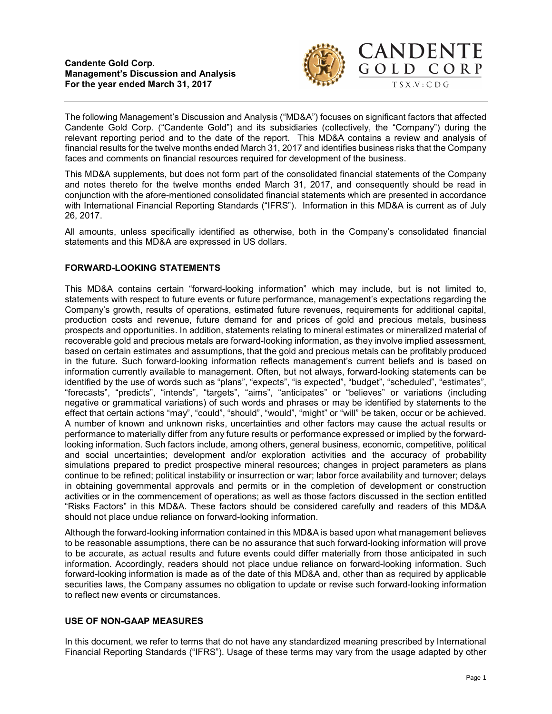

The following Management's Discussion and Analysis ("MD&A") focuses on significant factors that affected Candente Gold Corp. ("Candente Gold") and its subsidiaries (collectively, the "Company") during the relevant reporting period and to the date of the report. This MD&A contains a review and analysis of financial results for the twelve months ended March 31, 2017 and identifies business risks that the Company faces and comments on financial resources required for development of the business.

This MD&A supplements, but does not form part of the consolidated financial statements of the Company and notes thereto for the twelve months ended March 31, 2017, and consequently should be read in conjunction with the afore-mentioned consolidated financial statements which are presented in accordance with International Financial Reporting Standards ("IFRS"). Information in this MD&A is current as of July 26, 2017.

All amounts, unless specifically identified as otherwise, both in the Company's consolidated financial statements and this MD&A are expressed in US dollars.

# FORWARD-LOOKING STATEMENTS

This MD&A contains certain "forward-looking information" which may include, but is not limited to, statements with respect to future events or future performance, management's expectations regarding the Company's growth, results of operations, estimated future revenues, requirements for additional capital, production costs and revenue, future demand for and prices of gold and precious metals, business prospects and opportunities. In addition, statements relating to mineral estimates or mineralized material of recoverable gold and precious metals are forward-looking information, as they involve implied assessment, based on certain estimates and assumptions, that the gold and precious metals can be profitably produced in the future. Such forward-looking information reflects management's current beliefs and is based on information currently available to management. Often, but not always, forward-looking statements can be identified by the use of words such as "plans", "expects", "is expected", "budget", "scheduled", "estimates", "forecasts", "predicts", "intends", "targets", "aims", "anticipates" or "believes" or variations (including negative or grammatical variations) of such words and phrases or may be identified by statements to the effect that certain actions "may", "could", "should", "would", "might" or "will" be taken, occur or be achieved. A number of known and unknown risks, uncertainties and other factors may cause the actual results or performance to materially differ from any future results or performance expressed or implied by the forwardlooking information. Such factors include, among others, general business, economic, competitive, political and social uncertainties; development and/or exploration activities and the accuracy of probability simulations prepared to predict prospective mineral resources; changes in project parameters as plans continue to be refined; political instability or insurrection or war; labor force availability and turnover; delays in obtaining governmental approvals and permits or in the completion of development or construction activities or in the commencement of operations; as well as those factors discussed in the section entitled "Risks Factors" in this MD&A. These factors should be considered carefully and readers of this MD&A should not place undue reliance on forward-looking information.

Although the forward-looking information contained in this MD&A is based upon what management believes to be reasonable assumptions, there can be no assurance that such forward-looking information will prove to be accurate, as actual results and future events could differ materially from those anticipated in such information. Accordingly, readers should not place undue reliance on forward-looking information. Such forward-looking information is made as of the date of this MD&A and, other than as required by applicable securities laws, the Company assumes no obligation to update or revise such forward-looking information to reflect new events or circumstances.

# USE OF NON-GAAP MEASURES

In this document, we refer to terms that do not have any standardized meaning prescribed by International Financial Reporting Standards ("IFRS"). Usage of these terms may vary from the usage adapted by other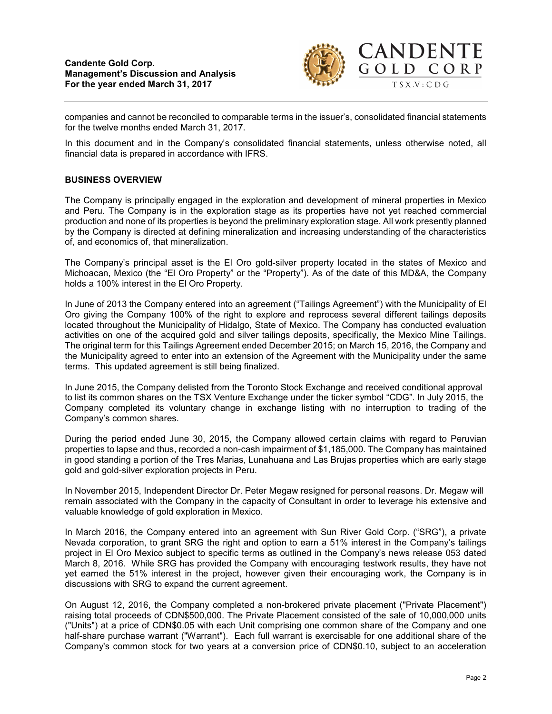

companies and cannot be reconciled to comparable terms in the issuer's, consolidated financial statements for the twelve months ended March 31, 2017.

In this document and in the Company's consolidated financial statements, unless otherwise noted, all financial data is prepared in accordance with IFRS.

### BUSINESS OVERVIEW

The Company is principally engaged in the exploration and development of mineral properties in Mexico and Peru. The Company is in the exploration stage as its properties have not yet reached commercial production and none of its properties is beyond the preliminary exploration stage. All work presently planned by the Company is directed at defining mineralization and increasing understanding of the characteristics of, and economics of, that mineralization.

The Company's principal asset is the El Oro gold-silver property located in the states of Mexico and Michoacan, Mexico (the "El Oro Property" or the "Property"). As of the date of this MD&A, the Company holds a 100% interest in the El Oro Property.

In June of 2013 the Company entered into an agreement ("Tailings Agreement") with the Municipality of El Oro giving the Company 100% of the right to explore and reprocess several different tailings deposits located throughout the Municipality of Hidalgo, State of Mexico. The Company has conducted evaluation activities on one of the acquired gold and silver tailings deposits, specifically, the Mexico Mine Tailings. The original term for this Tailings Agreement ended December 2015; on March 15, 2016, the Company and the Municipality agreed to enter into an extension of the Agreement with the Municipality under the same terms. This updated agreement is still being finalized.

In June 2015, the Company delisted from the Toronto Stock Exchange and received conditional approval to list its common shares on the TSX Venture Exchange under the ticker symbol "CDG". In July 2015, the Company completed its voluntary change in exchange listing with no interruption to trading of the Company's common shares.

During the period ended June 30, 2015, the Company allowed certain claims with regard to Peruvian properties to lapse and thus, recorded a non-cash impairment of \$1,185,000. The Company has maintained in good standing a portion of the Tres Marias, Lunahuana and Las Brujas properties which are early stage gold and gold-silver exploration projects in Peru.

In November 2015, Independent Director Dr. Peter Megaw resigned for personal reasons. Dr. Megaw will remain associated with the Company in the capacity of Consultant in order to leverage his extensive and valuable knowledge of gold exploration in Mexico.

In March 2016, the Company entered into an agreement with Sun River Gold Corp. ("SRG"), a private Nevada corporation, to grant SRG the right and option to earn a 51% interest in the Company's tailings project in El Oro Mexico subject to specific terms as outlined in the Company's news release 053 dated March 8, 2016. While SRG has provided the Company with encouraging testwork results, they have not yet earned the 51% interest in the project, however given their encouraging work, the Company is in discussions with SRG to expand the current agreement.

On August 12, 2016, the Company completed a non-brokered private placement ("Private Placement") raising total proceeds of CDN\$500,000. The Private Placement consisted of the sale of 10,000,000 units ("Units") at a price of CDN\$0.05 with each Unit comprising one common share of the Company and one half-share purchase warrant ("Warrant"). Each full warrant is exercisable for one additional share of the Company's common stock for two years at a conversion price of CDN\$0.10, subject to an acceleration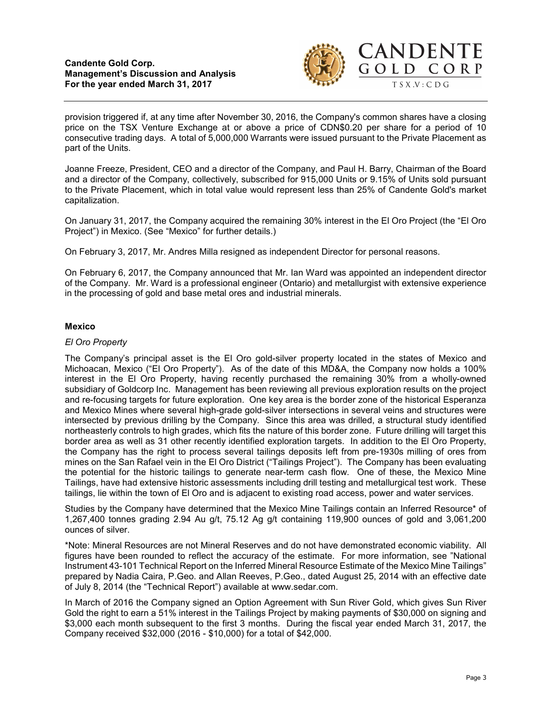

provision triggered if, at any time after November 30, 2016, the Company's common shares have a closing price on the TSX Venture Exchange at or above a price of CDN\$0.20 per share for a period of 10 consecutive trading days. A total of 5,000,000 Warrants were issued pursuant to the Private Placement as part of the Units.

Joanne Freeze, President, CEO and a director of the Company, and Paul H. Barry, Chairman of the Board and a director of the Company, collectively, subscribed for 915,000 Units or 9.15% of Units sold pursuant to the Private Placement, which in total value would represent less than 25% of Candente Gold's market capitalization.

On January 31, 2017, the Company acquired the remaining 30% interest in the El Oro Project (the "El Oro Project") in Mexico. (See "Mexico" for further details.)

On February 3, 2017, Mr. Andres Milla resigned as independent Director for personal reasons.

On February 6, 2017, the Company announced that Mr. Ian Ward was appointed an independent director of the Company. Mr. Ward is a professional engineer (Ontario) and metallurgist with extensive experience in the processing of gold and base metal ores and industrial minerals.

### Mexico

### El Oro Property

The Company's principal asset is the El Oro gold-silver property located in the states of Mexico and Michoacan, Mexico ("El Oro Property"). As of the date of this MD&A, the Company now holds a 100% interest in the El Oro Property, having recently purchased the remaining 30% from a wholly-owned subsidiary of Goldcorp Inc. Management has been reviewing all previous exploration results on the project and re-focusing targets for future exploration. One key area is the border zone of the historical Esperanza and Mexico Mines where several high-grade gold-silver intersections in several veins and structures were intersected by previous drilling by the Company. Since this area was drilled, a structural study identified northeasterly controls to high grades, which fits the nature of this border zone. Future drilling will target this border area as well as 31 other recently identified exploration targets. In addition to the El Oro Property, the Company has the right to process several tailings deposits left from pre-1930s milling of ores from mines on the San Rafael vein in the El Oro District ("Tailings Project"). The Company has been evaluating the potential for the historic tailings to generate near-term cash flow. One of these, the Mexico Mine Tailings, have had extensive historic assessments including drill testing and metallurgical test work. These tailings, lie within the town of El Oro and is adjacent to existing road access, power and water services.

Studies by the Company have determined that the Mexico Mine Tailings contain an Inferred Resource\* of 1,267,400 tonnes grading 2.94 Au g/t, 75.12 Ag g/t containing 119,900 ounces of gold and 3,061,200 ounces of silver.

\*Note: Mineral Resources are not Mineral Reserves and do not have demonstrated economic viability. All figures have been rounded to reflect the accuracy of the estimate. For more information, see "National Instrument 43-101 Technical Report on the Inferred Mineral Resource Estimate of the Mexico Mine Tailings" prepared by Nadia Caira, P.Geo. and Allan Reeves, P.Geo., dated August 25, 2014 with an effective date of July 8, 2014 (the "Technical Report") available at www.sedar.com.

In March of 2016 the Company signed an Option Agreement with Sun River Gold, which gives Sun River Gold the right to earn a 51% interest in the Tailings Project by making payments of \$30,000 on signing and \$3,000 each month subsequent to the first 3 months. During the fiscal year ended March 31, 2017, the Company received \$32,000 (2016 - \$10,000) for a total of \$42,000.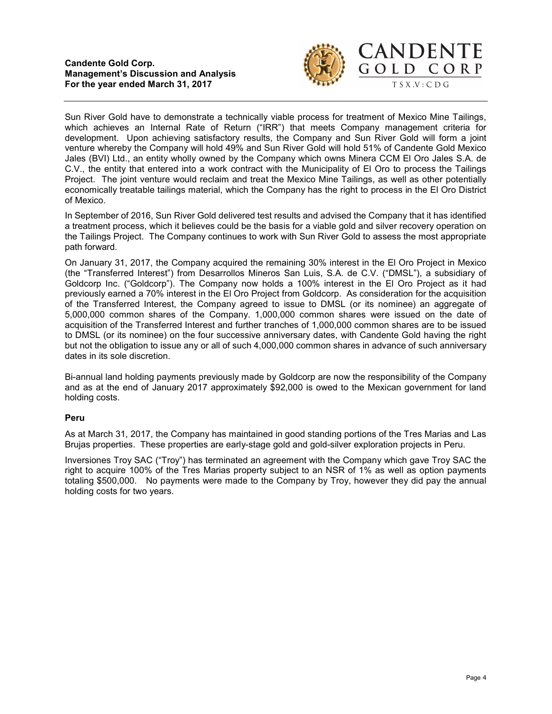

Sun River Gold have to demonstrate a technically viable process for treatment of Mexico Mine Tailings, which achieves an Internal Rate of Return ("IRR") that meets Company management criteria for development. Upon achieving satisfactory results, the Company and Sun River Gold will form a joint venture whereby the Company will hold 49% and Sun River Gold will hold 51% of Candente Gold Mexico Jales (BVI) Ltd., an entity wholly owned by the Company which owns Minera CCM El Oro Jales S.A. de C.V., the entity that entered into a work contract with the Municipality of El Oro to process the Tailings Project. The joint venture would reclaim and treat the Mexico Mine Tailings, as well as other potentially economically treatable tailings material, which the Company has the right to process in the El Oro District of Mexico.

In September of 2016, Sun River Gold delivered test results and advised the Company that it has identified a treatment process, which it believes could be the basis for a viable gold and silver recovery operation on the Tailings Project. The Company continues to work with Sun River Gold to assess the most appropriate path forward.

On January 31, 2017, the Company acquired the remaining 30% interest in the El Oro Project in Mexico (the "Transferred Interest") from Desarrollos Mineros San Luis, S.A. de C.V. ("DMSL"), a subsidiary of Goldcorp Inc. ("Goldcorp"). The Company now holds a 100% interest in the El Oro Project as it had previously earned a 70% interest in the El Oro Project from Goldcorp. As consideration for the acquisition of the Transferred Interest, the Company agreed to issue to DMSL (or its nominee) an aggregate of 5,000,000 common shares of the Company. 1,000,000 common shares were issued on the date of acquisition of the Transferred Interest and further tranches of 1,000,000 common shares are to be issued to DMSL (or its nominee) on the four successive anniversary dates, with Candente Gold having the right but not the obligation to issue any or all of such 4,000,000 common shares in advance of such anniversary dates in its sole discretion.

Bi-annual land holding payments previously made by Goldcorp are now the responsibility of the Company and as at the end of January 2017 approximately \$92,000 is owed to the Mexican government for land holding costs.

### Peru

As at March 31, 2017, the Company has maintained in good standing portions of the Tres Marias and Las Brujas properties. These properties are early-stage gold and gold-silver exploration projects in Peru.

Inversiones Troy SAC ("Troy") has terminated an agreement with the Company which gave Troy SAC the right to acquire 100% of the Tres Marias property subject to an NSR of 1% as well as option payments totaling \$500,000. No payments were made to the Company by Troy, however they did pay the annual holding costs for two years.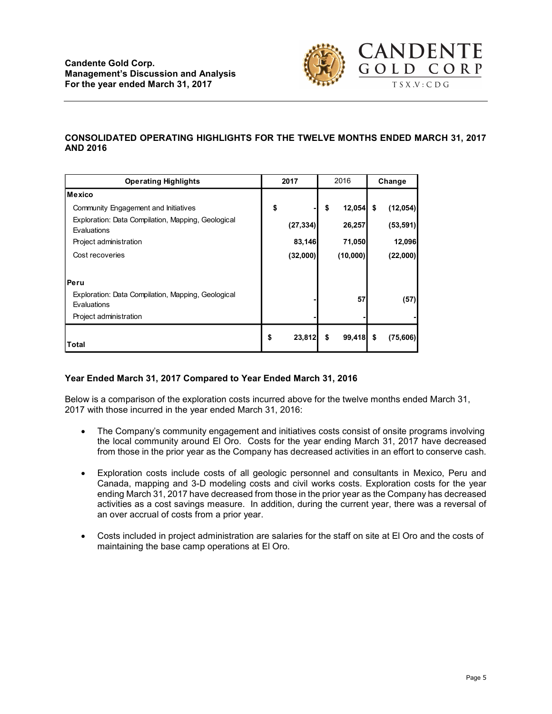

# CONSOLIDATED OPERATING HIGHLIGHTS FOR THE TWELVE MONTHS ENDED MARCH 31, 2017 AND 2016

| <b>Candente Gold Corp.</b><br><b>Management's Discussion and Analysis</b><br>For the year ended March 31, 2017                        |              |                   |           | <b>CANDENTE</b><br>GOLD CORP<br>T S X . V : C D G |
|---------------------------------------------------------------------------------------------------------------------------------------|--------------|-------------------|-----------|---------------------------------------------------|
| <b>CONSOLIDATED OPERATING HIGHLIGHTS FOR THE TWELVE MONTHS ENDED MARCH 31, 2017</b><br><b>AND 2016</b><br><b>Operating Highlights</b> | 2017         | 2016              | Change    |                                                   |
| <b>Mexico</b>                                                                                                                         |              |                   |           |                                                   |
| Community Engagement and Initiatives                                                                                                  | \$           | $12,054$ \$<br>\$ | (12,054)  |                                                   |
| Exploration: Data Compilation, Mapping, Geological                                                                                    | (27, 334)    | 26,257            | (53, 591) |                                                   |
| Evaluations<br>Project administration                                                                                                 | 83,146       | 71,050            | 12,096    |                                                   |
| Cost recoveries                                                                                                                       | (32,000)     | (10,000)          | (22,000)  |                                                   |
|                                                                                                                                       |              |                   |           |                                                   |
|                                                                                                                                       |              |                   |           |                                                   |
|                                                                                                                                       |              |                   |           |                                                   |
| Peru<br>Exploration: Data Compilation, Mapping, Geological                                                                            |              |                   |           |                                                   |
| Evaluations                                                                                                                           |              | 57                | (57)      |                                                   |
| Project administration                                                                                                                |              |                   |           |                                                   |
|                                                                                                                                       | \$<br>23,812 | $99,418$ \$<br>\$ | (75, 606) |                                                   |

# Year Ended March 31, 2017 Compared to Year Ended March 31, 2016

Below is a comparison of the exploration costs incurred above for the twelve months ended March 31, 2017 with those incurred in the year ended March 31, 2016:

- The Company's community engagement and initiatives costs consist of onsite programs involving the local community around El Oro. Costs for the year ending March 31, 2017 have decreased from those in the prior year as the Company has decreased activities in an effort to conserve cash.
- Exploration costs include costs of all geologic personnel and consultants in Mexico, Peru and Canada, mapping and 3-D modeling costs and civil works costs. Exploration costs for the year ending March 31, 2017 have decreased from those in the prior year as the Company has decreased activities as a cost savings measure. In addition, during the current year, there was a reversal of an over accrual of costs from a prior year.
- Costs included in project administration are salaries for the staff on site at El Oro and the costs of maintaining the base camp operations at El Oro.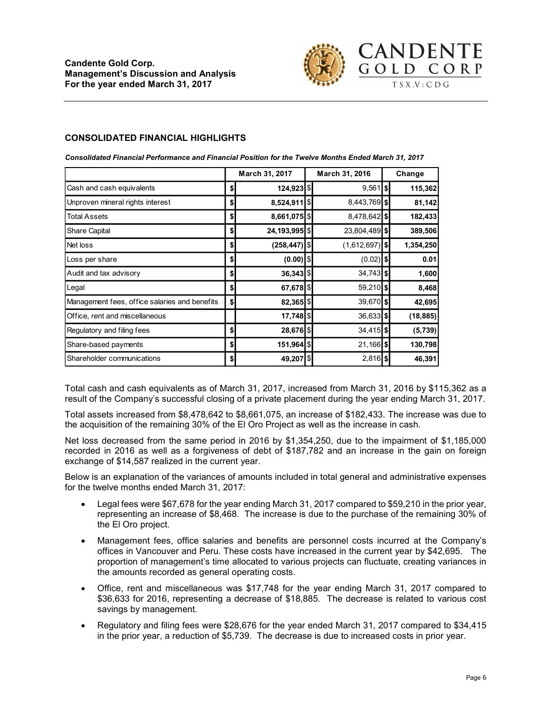

#### CONSOLIDATED FINANCIAL HIGHLIGHTS

| <b>Candente Gold Corp.</b><br><b>Management's Discussion and Analysis</b><br>For the year ended March 31, 2017<br><b>CONSOLIDATED FINANCIAL HIGHLIGHTS</b> |                           |                   |                  |        | <b>CANDENTE</b><br>GOLD CORP<br>T S X . V : C D G |
|------------------------------------------------------------------------------------------------------------------------------------------------------------|---------------------------|-------------------|------------------|--------|---------------------------------------------------|
| Consolidated Financial Performance and Financial Position for the Twelve Months Ended March 31, 2017                                                       |                           |                   |                  |        |                                                   |
|                                                                                                                                                            |                           | March 31, 2017    | March 31, 2016   | Change |                                                   |
| Cash and cash equivalents                                                                                                                                  | \$                        | 124,923 \$        | $9,561$ $ $$     |        | 115,362                                           |
| Unproven mineral rights interest                                                                                                                           | \$                        | $8,524,911$ \$    | 8,443,769 \$     |        | 81,142                                            |
|                                                                                                                                                            | \$                        | 8,661,075 \$      | 8,478,642 \$     |        | 182,433                                           |
| <b>Total Assets</b>                                                                                                                                        |                           |                   |                  |        |                                                   |
| Share Capital                                                                                                                                              | \$                        | 24, 193, 995   \$ | 23,804,489 \$    |        | 389,506                                           |
| Net loss                                                                                                                                                   | \$                        | $(258, 447)$ \$   | $(1,612,697)$ \$ |        | 1,354,250                                         |
| Loss per share                                                                                                                                             | \$                        | $(0.00)$ \$       | $(0.02)$ \$      |        | 0.01                                              |
| Audit and tax advisory                                                                                                                                     | \$                        | $36,343$ \$       | $34,743$ \$      |        | 1,600                                             |
| Legal                                                                                                                                                      | \$                        | 67,678 \$         | 59,210 \$        |        | 8,468                                             |
| Management fees, office salaries and benefits                                                                                                              | $\boldsymbol{\mathsf{s}}$ | 82,365 \$         | 39,670 \$        |        | 42,695                                            |
| Office, rent and miscellaneous                                                                                                                             |                           | $17,748$ \$       | $36,633$ \$      |        | (18, 885)                                         |
| Regulatory and filing fees                                                                                                                                 | \$                        | 28,676 \$         | $34,415$ \$      |        | (5,739)                                           |
| Share-based payments                                                                                                                                       | \$                        | 151,964   \$      | $21,166$ \$      |        | 130,798                                           |

Total assets increased from \$8,478,642 to \$8,661,075, an increase of \$182,433. The increase was due to the acquisition of the remaining 30% of the El Oro Project as well as the increase in cash.

Net loss decreased from the same period in 2016 by \$1,354,250, due to the impairment of \$1,185,000 recorded in 2016 as well as a forgiveness of debt of \$187,782 and an increase in the gain on foreign exchange of \$14,587 realized in the current year.

Below is an explanation of the variances of amounts included in total general and administrative expenses for the twelve months ended March 31, 2017:

- Legal fees were \$67,678 for the year ending March 31, 2017 compared to \$59,210 in the prior year, representing an increase of \$8,468. The increase is due to the purchase of the remaining 30% of the El Oro project.
- Management fees, office salaries and benefits are personnel costs incurred at the Company's offices in Vancouver and Peru. These costs have increased in the current year by \$42,695. The proportion of management's time allocated to various projects can fluctuate, creating variances in the amounts recorded as general operating costs.
- Office, rent and miscellaneous was \$17,748 for the year ending March 31, 2017 compared to \$36,633 for 2016, representing a decrease of \$18,885. The decrease is related to various cost savings by management.
- Regulatory and filing fees were \$28,676 for the year ended March 31, 2017 compared to \$34,415 in the prior year, a reduction of \$5,739. The decrease is due to increased costs in prior year.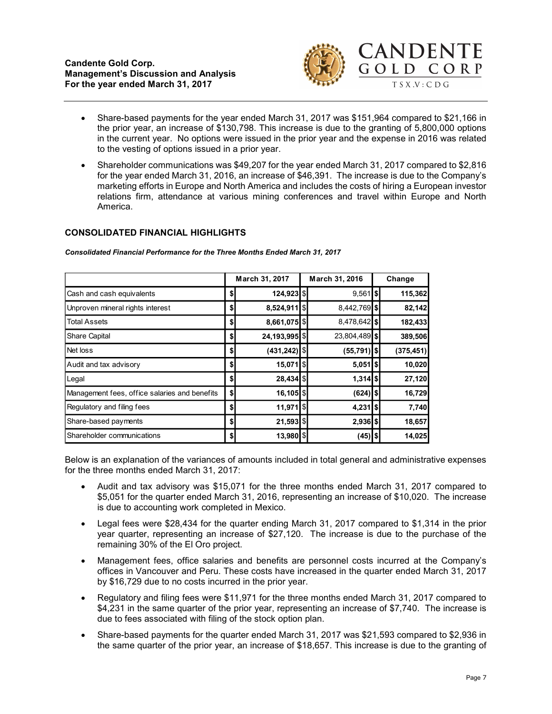

- Share-based payments for the year ended March 31, 2017 was \$151,964 compared to \$21,166 in the prior year, an increase of \$130,798. This increase is due to the granting of 5,800,000 options in the current year. No options were issued in the prior year and the expense in 2016 was related to the vesting of options issued in a prior year.
- Shareholder communications was \$49,207 for the year ended March 31, 2017 compared to \$2,816 for the year ended March 31, 2016, an increase of \$46,391. The increase is due to the Company's marketing efforts in Europe and North America and includes the costs of hiring a European investor relations firm, attendance at various mining conferences and travel within Europe and North America. CANDENTE<br>
GOLDCORP<br>
TSXV:CDG<br>
TSXV:CDG<br>
TSXV:CDG<br>
TSXV:CDG<br>
TSXV:CDG<br>
TSXV:CDG<br>
TSXV:CDG<br>
TSXV:CDG<br>
TSXV:CDG<br>
TSXV:CDG<br>
TSXV:CDG<br>
TSXV:CDG<br>
TSXV:CDG<br>
TSXV:CDG<br>
TSXV:CDG<br>
TSXV:CDG<br>
TSXV:CDG<br>
TSX-CDG<br>
TSX-CDG<br>
POSS<br>
POSS CH

# CONSOLIDATED FINANCIAL HIGHLIGHTS

| <b>Candente Gold Corp.</b><br><b>Management's Discussion and Analysis</b>                                                                                                                                                                                                                                                                                                                                          |                           |                          |  |                         |  | GOLD CORP        |  |
|--------------------------------------------------------------------------------------------------------------------------------------------------------------------------------------------------------------------------------------------------------------------------------------------------------------------------------------------------------------------------------------------------------------------|---------------------------|--------------------------|--|-------------------------|--|------------------|--|
| For the year ended March 31, 2017                                                                                                                                                                                                                                                                                                                                                                                  |                           |                          |  |                         |  |                  |  |
| Share-based payments for the year ended March 31, 2017 was \$151,964 compared to \$21,166 in<br>the prior year, an increase of \$130,798. This increase is due to the granting of 5,800,000 options<br>in the current year. No options were issued in the prior year and the expense in 2016 was related<br>to the vesting of options issued in a prior year.                                                      |                           |                          |  |                         |  |                  |  |
| Shareholder communications was \$49,207 for the year ended March 31, 2017 compared to \$2,816<br>for the year ended March 31, 2016, an increase of \$46,391. The increase is due to the Company's<br>marketing efforts in Europe and North America and includes the costs of hiring a European investor<br>relations firm, attendance at various mining conferences and travel within Europe and North<br>America. |                           |                          |  |                         |  |                  |  |
| <b>CONSOLIDATED FINANCIAL HIGHLIGHTS</b>                                                                                                                                                                                                                                                                                                                                                                           |                           |                          |  |                         |  |                  |  |
| Consolidated Financial Performance for the Three Months Ended March 31, 2017                                                                                                                                                                                                                                                                                                                                       |                           |                          |  |                         |  |                  |  |
|                                                                                                                                                                                                                                                                                                                                                                                                                    |                           | March 31, 2017           |  | March 31, 2016          |  | Change           |  |
| Cash and cash equivalents                                                                                                                                                                                                                                                                                                                                                                                          | \$                        | 124,923 \$               |  | $9,561$   \$            |  | 115,362          |  |
| Unproven mineral rights interest                                                                                                                                                                                                                                                                                                                                                                                   | \$                        | 8,524,911   \$           |  | 8,442,769 \$            |  | 82,142           |  |
| <b>Total Assets</b>                                                                                                                                                                                                                                                                                                                                                                                                | \$                        | 8,661,075   \$           |  | 8,478,642 \$            |  | 182,433          |  |
|                                                                                                                                                                                                                                                                                                                                                                                                                    |                           |                          |  |                         |  |                  |  |
| Share Capital                                                                                                                                                                                                                                                                                                                                                                                                      | \$                        | 24,193,995 \$            |  | 23,804,489 \$           |  | 389,506          |  |
| Net loss                                                                                                                                                                                                                                                                                                                                                                                                           | \$                        | (431, 242)               |  | $(55, 791)$ \$          |  | (375, 451)       |  |
| Audit and tax advisory                                                                                                                                                                                                                                                                                                                                                                                             | \$                        | 15,071 \$                |  | $5,051$ $ \$$           |  | 10,020           |  |
| Legal                                                                                                                                                                                                                                                                                                                                                                                                              | \$                        | 28,434 \$                |  | $1,314$ $ $             |  | 27,120           |  |
| Management fees, office salaries and benefits                                                                                                                                                                                                                                                                                                                                                                      | $\boldsymbol{\mathsf{s}}$ | $16, 105$ \$             |  | $(624)$   \$            |  | 16,729           |  |
| Regulatory and filing fees                                                                                                                                                                                                                                                                                                                                                                                         | \$                        | $11,971$ \$              |  | $4,231$ $ $$            |  | 7,740            |  |
| Share-based payments<br>Shareholder communications                                                                                                                                                                                                                                                                                                                                                                 | \$<br>$\boldsymbol{s}$    | $21,593$ \$<br>13,980 \$ |  | $2,936$ \$<br>$(45)$ \$ |  | 18,657<br>14,025 |  |

- Audit and tax advisory was \$15,071 for the three months ended March 31, 2017 compared to \$5,051 for the quarter ended March 31, 2016, representing an increase of \$10,020. The increase is due to accounting work completed in Mexico.
- Legal fees were \$28,434 for the quarter ending March 31, 2017 compared to \$1,314 in the prior year quarter, representing an increase of \$27,120. The increase is due to the purchase of the remaining 30% of the El Oro project.
- Management fees, office salaries and benefits are personnel costs incurred at the Company's offices in Vancouver and Peru. These costs have increased in the quarter ended March 31, 2017 by \$16,729 due to no costs incurred in the prior year.
- Regulatory and filing fees were \$11,971 for the three months ended March 31, 2017 compared to \$4,231 in the same quarter of the prior year, representing an increase of \$7,740. The increase is due to fees associated with filing of the stock option plan.
- Share-based payments for the quarter ended March 31, 2017 was \$21,593 compared to \$2,936 in the same quarter of the prior year, an increase of \$18,657. This increase is due to the granting of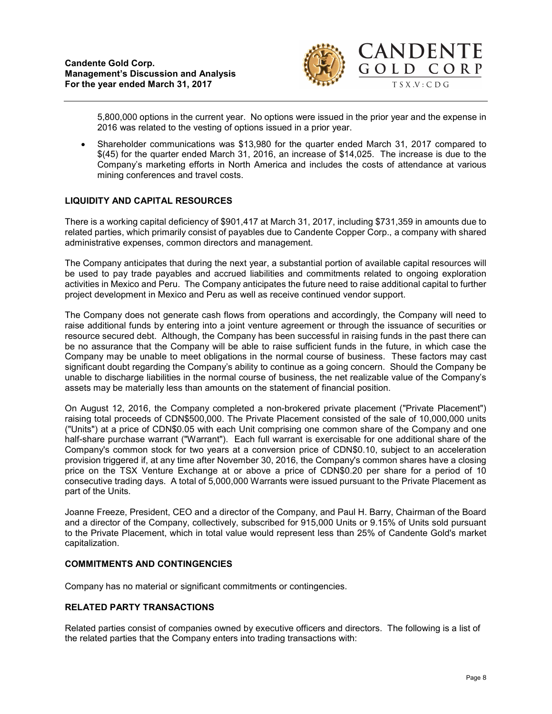

5,800,000 options in the current year. No options were issued in the prior year and the expense in 2016 was related to the vesting of options issued in a prior year.

 Shareholder communications was \$13,980 for the quarter ended March 31, 2017 compared to \$(45) for the quarter ended March 31, 2016, an increase of \$14,025. The increase is due to the Company's marketing efforts in North America and includes the costs of attendance at various mining conferences and travel costs.

### LIQUIDITY AND CAPITAL RESOURCES

There is a working capital deficiency of \$901,417 at March 31, 2017, including \$731,359 in amounts due to related parties, which primarily consist of payables due to Candente Copper Corp., a company with shared administrative expenses, common directors and management.

The Company anticipates that during the next year, a substantial portion of available capital resources will be used to pay trade payables and accrued liabilities and commitments related to ongoing exploration activities in Mexico and Peru. The Company anticipates the future need to raise additional capital to further project development in Mexico and Peru as well as receive continued vendor support.

The Company does not generate cash flows from operations and accordingly, the Company will need to raise additional funds by entering into a joint venture agreement or through the issuance of securities or resource secured debt. Although, the Company has been successful in raising funds in the past there can be no assurance that the Company will be able to raise sufficient funds in the future, in which case the Company may be unable to meet obligations in the normal course of business. These factors may cast significant doubt regarding the Company's ability to continue as a going concern. Should the Company be unable to discharge liabilities in the normal course of business, the net realizable value of the Company's assets may be materially less than amounts on the statement of financial position.

On August 12, 2016, the Company completed a non-brokered private placement ("Private Placement") raising total proceeds of CDN\$500,000. The Private Placement consisted of the sale of 10,000,000 units ("Units") at a price of CDN\$0.05 with each Unit comprising one common share of the Company and one half-share purchase warrant ("Warrant"). Each full warrant is exercisable for one additional share of the Company's common stock for two years at a conversion price of CDN\$0.10, subject to an acceleration provision triggered if, at any time after November 30, 2016, the Company's common shares have a closing price on the TSX Venture Exchange at or above a price of CDN\$0.20 per share for a period of 10 consecutive trading days. A total of 5,000,000 Warrants were issued pursuant to the Private Placement as part of the Units.

Joanne Freeze, President, CEO and a director of the Company, and Paul H. Barry, Chairman of the Board and a director of the Company, collectively, subscribed for 915,000 Units or 9.15% of Units sold pursuant to the Private Placement, which in total value would represent less than 25% of Candente Gold's market capitalization.

### COMMITMENTS AND CONTINGENCIES

Company has no material or significant commitments or contingencies.

### RELATED PARTY TRANSACTIONS

Related parties consist of companies owned by executive officers and directors. The following is a list of the related parties that the Company enters into trading transactions with: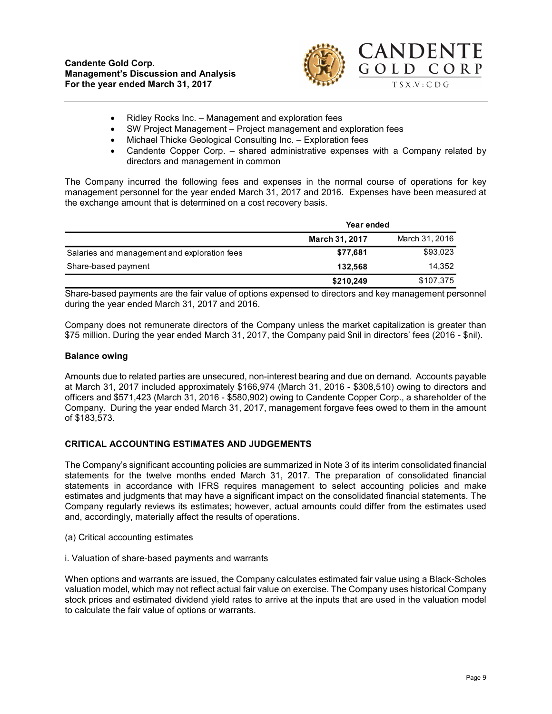

- Ridley Rocks Inc. Management and exploration fees
- SW Project Management Project management and exploration fees
- Michael Thicke Geological Consulting Inc. Exploration fees
- Candente Copper Corp. shared administrative expenses with a Company related by directors and management in common

The Company incurred the following fees and expenses in the normal course of operations for key management personnel for the year ended March 31, 2017 and 2016. Expenses have been measured at the exchange amount that is determined on a cost recovery basis.

|                                              | Year ended            |                |
|----------------------------------------------|-----------------------|----------------|
|                                              | <b>March 31, 2017</b> | March 31, 2016 |
| Salaries and management and exploration fees | \$77,681              | \$93,023       |
| Share-based payment                          | 132.568               | 14,352         |
|                                              | \$210,249             | \$107,375      |

Share-based payments are the fair value of options expensed to directors and key management personnel during the year ended March 31, 2017 and 2016.

Company does not remunerate directors of the Company unless the market capitalization is greater than \$75 million. During the year ended March 31, 2017, the Company paid \$nil in directors' fees (2016 - \$nil).

#### Balance owing

Amounts due to related parties are unsecured, non-interest bearing and due on demand. Accounts payable at March 31, 2017 included approximately \$166,974 (March 31, 2016 - \$308,510) owing to directors and officers and \$571,423 (March 31, 2016 - \$580,902) owing to Candente Copper Corp., a shareholder of the Company. During the year ended March 31, 2017, management forgave fees owed to them in the amount of \$183,573.

### CRITICAL ACCOUNTING ESTIMATES AND JUDGEMENTS

The Company's significant accounting policies are summarized in Note 3 of its interim consolidated financial statements for the twelve months ended March 31, 2017. The preparation of consolidated financial statements in accordance with IFRS requires management to select accounting policies and make estimates and judgments that may have a significant impact on the consolidated financial statements. The Company regularly reviews its estimates; however, actual amounts could differ from the estimates used and, accordingly, materially affect the results of operations.

- (a) Critical accounting estimates
- i. Valuation of share-based payments and warrants

When options and warrants are issued, the Company calculates estimated fair value using a Black-Scholes valuation model, which may not reflect actual fair value on exercise. The Company uses historical Company stock prices and estimated dividend yield rates to arrive at the inputs that are used in the valuation model to calculate the fair value of options or warrants.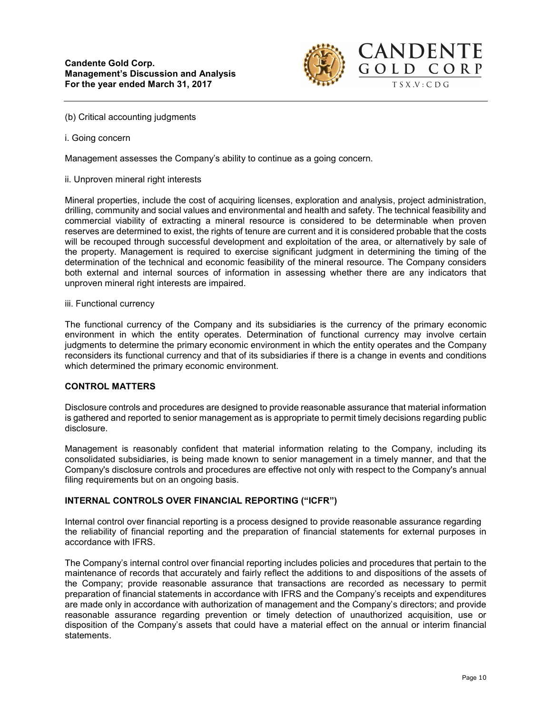

(b) Critical accounting judgments

i. Going concern

Management assesses the Company's ability to continue as a going concern.

ii. Unproven mineral right interests

Mineral properties, include the cost of acquiring licenses, exploration and analysis, project administration, drilling, community and social values and environmental and health and safety. The technical feasibility and commercial viability of extracting a mineral resource is considered to be determinable when proven reserves are determined to exist, the rights of tenure are current and it is considered probable that the costs will be recouped through successful development and exploitation of the area, or alternatively by sale of the property. Management is required to exercise significant judgment in determining the timing of the determination of the technical and economic feasibility of the mineral resource. The Company considers both external and internal sources of information in assessing whether there are any indicators that unproven mineral right interests are impaired.

#### iii. Functional currency

The functional currency of the Company and its subsidiaries is the currency of the primary economic environment in which the entity operates. Determination of functional currency may involve certain judgments to determine the primary economic environment in which the entity operates and the Company reconsiders its functional currency and that of its subsidiaries if there is a change in events and conditions which determined the primary economic environment.

# CONTROL MATTERS

Disclosure controls and procedures are designed to provide reasonable assurance that material information is gathered and reported to senior management as is appropriate to permit timely decisions regarding public disclosure.

Management is reasonably confident that material information relating to the Company, including its consolidated subsidiaries, is being made known to senior management in a timely manner, and that the Company's disclosure controls and procedures are effective not only with respect to the Company's annual filing requirements but on an ongoing basis.

### INTERNAL CONTROLS OVER FINANCIAL REPORTING ("ICFR")

Internal control over financial reporting is a process designed to provide reasonable assurance regarding the reliability of financial reporting and the preparation of financial statements for external purposes in accordance with IFRS.

The Company's internal control over financial reporting includes policies and procedures that pertain to the maintenance of records that accurately and fairly reflect the additions to and dispositions of the assets of the Company; provide reasonable assurance that transactions are recorded as necessary to permit preparation of financial statements in accordance with IFRS and the Company's receipts and expenditures are made only in accordance with authorization of management and the Company's directors; and provide reasonable assurance regarding prevention or timely detection of unauthorized acquisition, use or disposition of the Company's assets that could have a material effect on the annual or interim financial statements.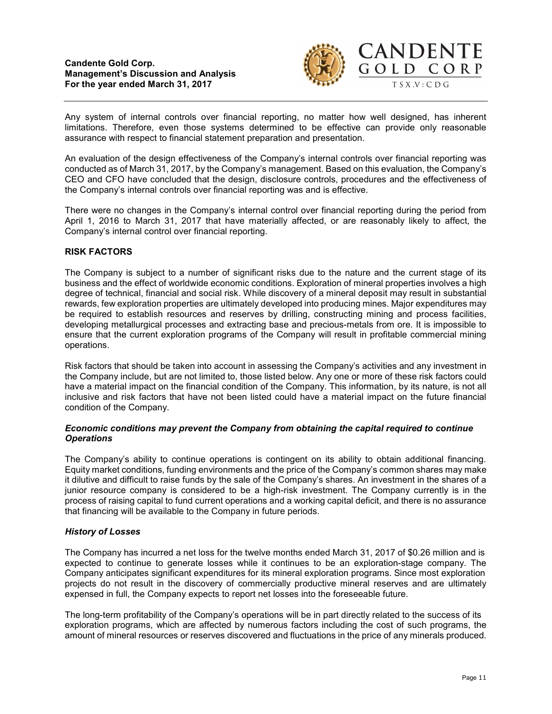

Any system of internal controls over financial reporting, no matter how well designed, has inherent limitations. Therefore, even those systems determined to be effective can provide only reasonable assurance with respect to financial statement preparation and presentation.

An evaluation of the design effectiveness of the Company's internal controls over financial reporting was conducted as of March 31, 2017, by the Company's management. Based on this evaluation, the Company's CEO and CFO have concluded that the design, disclosure controls, procedures and the effectiveness of the Company's internal controls over financial reporting was and is effective.

There were no changes in the Company's internal control over financial reporting during the period from April 1, 2016 to March 31, 2017 that have materially affected, or are reasonably likely to affect, the Company's internal control over financial reporting.

### RISK FACTORS

The Company is subject to a number of significant risks due to the nature and the current stage of its business and the effect of worldwide economic conditions. Exploration of mineral properties involves a high degree of technical, financial and social risk. While discovery of a mineral deposit may result in substantial rewards, few exploration properties are ultimately developed into producing mines. Major expenditures may be required to establish resources and reserves by drilling, constructing mining and process facilities, developing metallurgical processes and extracting base and precious-metals from ore. It is impossible to ensure that the current exploration programs of the Company will result in profitable commercial mining operations.

Risk factors that should be taken into account in assessing the Company's activities and any investment in the Company include, but are not limited to, those listed below. Any one or more of these risk factors could have a material impact on the financial condition of the Company. This information, by its nature, is not all inclusive and risk factors that have not been listed could have a material impact on the future financial condition of the Company.

### Economic conditions may prevent the Company from obtaining the capital required to continue **Operations**

The Company's ability to continue operations is contingent on its ability to obtain additional financing. Equity market conditions, funding environments and the price of the Company's common shares may make it dilutive and difficult to raise funds by the sale of the Company's shares. An investment in the shares of a junior resource company is considered to be a high-risk investment. The Company currently is in the process of raising capital to fund current operations and a working capital deficit, and there is no assurance that financing will be available to the Company in future periods.

# History of Losses

The Company has incurred a net loss for the twelve months ended March 31, 2017 of \$0.26 million and is expected to continue to generate losses while it continues to be an exploration-stage company. The Company anticipates significant expenditures for its mineral exploration programs. Since most exploration projects do not result in the discovery of commercially productive mineral reserves and are ultimately expensed in full, the Company expects to report net losses into the foreseeable future.

The long-term profitability of the Company's operations will be in part directly related to the success of its exploration programs, which are affected by numerous factors including the cost of such programs, the amount of mineral resources or reserves discovered and fluctuations in the price of any minerals produced.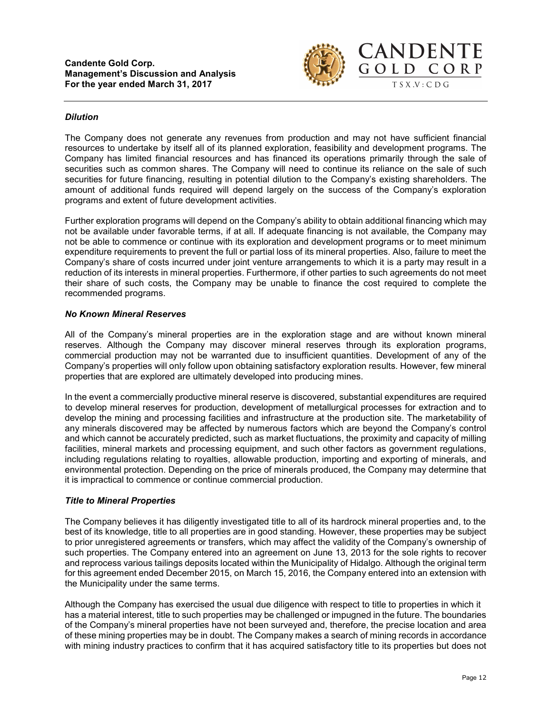

### **Dilution**

The Company does not generate any revenues from production and may not have sufficient financial resources to undertake by itself all of its planned exploration, feasibility and development programs. The Company has limited financial resources and has financed its operations primarily through the sale of securities such as common shares. The Company will need to continue its reliance on the sale of such securities for future financing, resulting in potential dilution to the Company's existing shareholders. The amount of additional funds required will depend largely on the success of the Company's exploration programs and extent of future development activities.

Further exploration programs will depend on the Company's ability to obtain additional financing which may not be available under favorable terms, if at all. If adequate financing is not available, the Company may not be able to commence or continue with its exploration and development programs or to meet minimum expenditure requirements to prevent the full or partial loss of its mineral properties. Also, failure to meet the Company's share of costs incurred under joint venture arrangements to which it is a party may result in a reduction of its interests in mineral properties. Furthermore, if other parties to such agreements do not meet their share of such costs, the Company may be unable to finance the cost required to complete the recommended programs.

### No Known Mineral Reserves

All of the Company's mineral properties are in the exploration stage and are without known mineral reserves. Although the Company may discover mineral reserves through its exploration programs, commercial production may not be warranted due to insufficient quantities. Development of any of the Company's properties will only follow upon obtaining satisfactory exploration results. However, few mineral properties that are explored are ultimately developed into producing mines.

In the event a commercially productive mineral reserve is discovered, substantial expenditures are required to develop mineral reserves for production, development of metallurgical processes for extraction and to develop the mining and processing facilities and infrastructure at the production site. The marketability of any minerals discovered may be affected by numerous factors which are beyond the Company's control and which cannot be accurately predicted, such as market fluctuations, the proximity and capacity of milling facilities, mineral markets and processing equipment, and such other factors as government regulations, including regulations relating to royalties, allowable production, importing and exporting of minerals, and environmental protection. Depending on the price of minerals produced, the Company may determine that it is impractical to commence or continue commercial production.

# Title to Mineral Properties

The Company believes it has diligently investigated title to all of its hardrock mineral properties and, to the best of its knowledge, title to all properties are in good standing. However, these properties may be subject to prior unregistered agreements or transfers, which may affect the validity of the Company's ownership of such properties. The Company entered into an agreement on June 13, 2013 for the sole rights to recover and reprocess various tailings deposits located within the Municipality of Hidalgo. Although the original term for this agreement ended December 2015, on March 15, 2016, the Company entered into an extension with the Municipality under the same terms.

Although the Company has exercised the usual due diligence with respect to title to properties in which it has a material interest, title to such properties may be challenged or impugned in the future. The boundaries of the Company's mineral properties have not been surveyed and, therefore, the precise location and area of these mining properties may be in doubt. The Company makes a search of mining records in accordance with mining industry practices to confirm that it has acquired satisfactory title to its properties but does not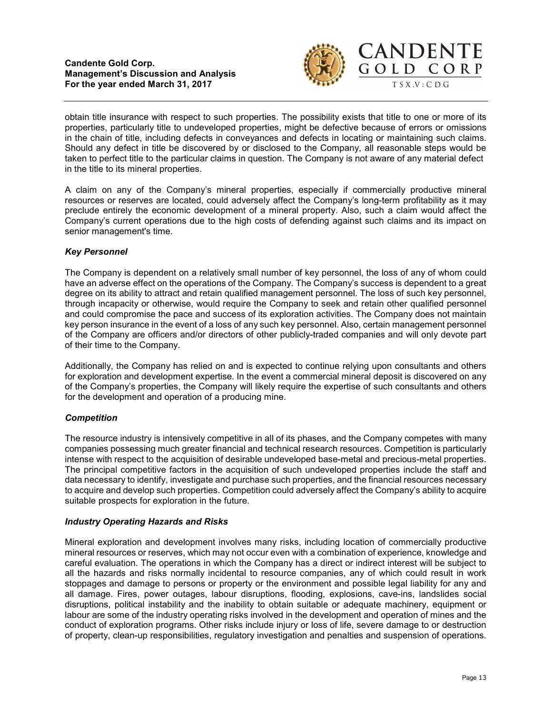

obtain title insurance with respect to such properties. The possibility exists that title to one or more of its properties, particularly title to undeveloped properties, might be defective because of errors or omissions in the chain of title, including defects in conveyances and defects in locating or maintaining such claims. Should any defect in title be discovered by or disclosed to the Company, all reasonable steps would be taken to perfect title to the particular claims in question. The Company is not aware of any material defect in the title to its mineral properties.

A claim on any of the Company's mineral properties, especially if commercially productive mineral resources or reserves are located, could adversely affect the Company's long-term profitability as it may preclude entirely the economic development of a mineral property. Also, such a claim would affect the Company's current operations due to the high costs of defending against such claims and its impact on senior management's time.

# Key Personnel

The Company is dependent on a relatively small number of key personnel, the loss of any of whom could have an adverse effect on the operations of the Company. The Company's success is dependent to a great degree on its ability to attract and retain qualified management personnel. The loss of such key personnel, through incapacity or otherwise, would require the Company to seek and retain other qualified personnel and could compromise the pace and success of its exploration activities. The Company does not maintain key person insurance in the event of a loss of any such key personnel. Also, certain management personnel of the Company are officers and/or directors of other publicly-traded companies and will only devote part of their time to the Company.

Additionally, the Company has relied on and is expected to continue relying upon consultants and others for exploration and development expertise. In the event a commercial mineral deposit is discovered on any of the Company's properties, the Company will likely require the expertise of such consultants and others for the development and operation of a producing mine.

# **Competition**

The resource industry is intensively competitive in all of its phases, and the Company competes with many companies possessing much greater financial and technical research resources. Competition is particularly intense with respect to the acquisition of desirable undeveloped base-metal and precious-metal properties. The principal competitive factors in the acquisition of such undeveloped properties include the staff and data necessary to identify, investigate and purchase such properties, and the financial resources necessary to acquire and develop such properties. Competition could adversely affect the Company's ability to acquire suitable prospects for exploration in the future.

# Industry Operating Hazards and Risks

Mineral exploration and development involves many risks, including location of commercially productive mineral resources or reserves, which may not occur even with a combination of experience, knowledge and careful evaluation. The operations in which the Company has a direct or indirect interest will be subject to all the hazards and risks normally incidental to resource companies, any of which could result in work stoppages and damage to persons or property or the environment and possible legal liability for any and all damage. Fires, power outages, labour disruptions, flooding, explosions, cave-ins, landslides social disruptions, political instability and the inability to obtain suitable or adequate machinery, equipment or labour are some of the industry operating risks involved in the development and operation of mines and the conduct of exploration programs. Other risks include injury or loss of life, severe damage to or destruction of property, clean-up responsibilities, regulatory investigation and penalties and suspension of operations.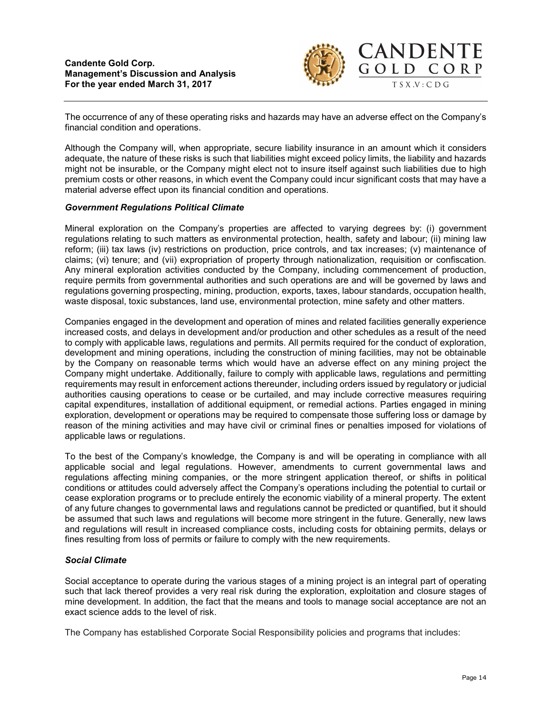

The occurrence of any of these operating risks and hazards may have an adverse effect on the Company's financial condition and operations.

Although the Company will, when appropriate, secure liability insurance in an amount which it considers adequate, the nature of these risks is such that liabilities might exceed policy limits, the liability and hazards might not be insurable, or the Company might elect not to insure itself against such liabilities due to high premium costs or other reasons, in which event the Company could incur significant costs that may have a material adverse effect upon its financial condition and operations.

### Government Regulations Political Climate

Mineral exploration on the Company's properties are affected to varying degrees by: (i) government regulations relating to such matters as environmental protection, health, safety and labour; (ii) mining law reform; (iii) tax laws (iv) restrictions on production, price controls, and tax increases; (v) maintenance of claims; (vi) tenure; and (vii) expropriation of property through nationalization, requisition or confiscation. Any mineral exploration activities conducted by the Company, including commencement of production, require permits from governmental authorities and such operations are and will be governed by laws and regulations governing prospecting, mining, production, exports, taxes, labour standards, occupation health, waste disposal, toxic substances, land use, environmental protection, mine safety and other matters.

Companies engaged in the development and operation of mines and related facilities generally experience increased costs, and delays in development and/or production and other schedules as a result of the need to comply with applicable laws, regulations and permits. All permits required for the conduct of exploration, development and mining operations, including the construction of mining facilities, may not be obtainable by the Company on reasonable terms which would have an adverse effect on any mining project the Company might undertake. Additionally, failure to comply with applicable laws, regulations and permitting requirements may result in enforcement actions thereunder, including orders issued by regulatory or judicial authorities causing operations to cease or be curtailed, and may include corrective measures requiring capital expenditures, installation of additional equipment, or remedial actions. Parties engaged in mining exploration, development or operations may be required to compensate those suffering loss or damage by reason of the mining activities and may have civil or criminal fines or penalties imposed for violations of applicable laws or regulations.

To the best of the Company's knowledge, the Company is and will be operating in compliance with all applicable social and legal regulations. However, amendments to current governmental laws and regulations affecting mining companies, or the more stringent application thereof, or shifts in political conditions or attitudes could adversely affect the Company's operations including the potential to curtail or cease exploration programs or to preclude entirely the economic viability of a mineral property. The extent of any future changes to governmental laws and regulations cannot be predicted or quantified, but it should be assumed that such laws and regulations will become more stringent in the future. Generally, new laws and regulations will result in increased compliance costs, including costs for obtaining permits, delays or fines resulting from loss of permits or failure to comply with the new requirements.

# Social Climate

Social acceptance to operate during the various stages of a mining project is an integral part of operating such that lack thereof provides a very real risk during the exploration, exploitation and closure stages of mine development. In addition, the fact that the means and tools to manage social acceptance are not an exact science adds to the level of risk.

The Company has established Corporate Social Responsibility policies and programs that includes: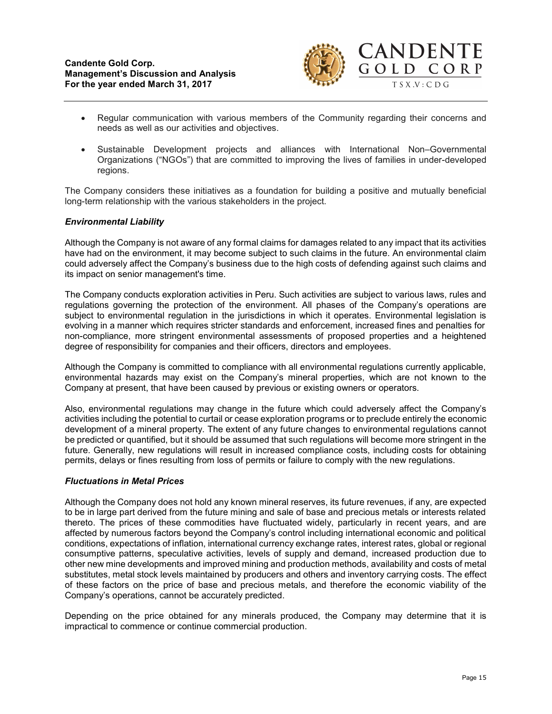

- Regular communication with various members of the Community regarding their concerns and needs as well as our activities and objectives.
- Sustainable Development projects and alliances with International Non–Governmental Organizations ("NGOs") that are committed to improving the lives of families in under-developed regions.

The Company considers these initiatives as a foundation for building a positive and mutually beneficial long-term relationship with the various stakeholders in the project.

### Environmental Liability

Although the Company is not aware of any formal claims for damages related to any impact that its activities have had on the environment, it may become subject to such claims in the future. An environmental claim could adversely affect the Company's business due to the high costs of defending against such claims and its impact on senior management's time.

The Company conducts exploration activities in Peru. Such activities are subject to various laws, rules and regulations governing the protection of the environment. All phases of the Company's operations are subject to environmental regulation in the jurisdictions in which it operates. Environmental legislation is evolving in a manner which requires stricter standards and enforcement, increased fines and penalties for non-compliance, more stringent environmental assessments of proposed properties and a heightened degree of responsibility for companies and their officers, directors and employees.

Although the Company is committed to compliance with all environmental regulations currently applicable, environmental hazards may exist on the Company's mineral properties, which are not known to the Company at present, that have been caused by previous or existing owners or operators.

Also, environmental regulations may change in the future which could adversely affect the Company's activities including the potential to curtail or cease exploration programs or to preclude entirely the economic development of a mineral property. The extent of any future changes to environmental regulations cannot be predicted or quantified, but it should be assumed that such regulations will become more stringent in the future. Generally, new regulations will result in increased compliance costs, including costs for obtaining permits, delays or fines resulting from loss of permits or failure to comply with the new regulations.

### Fluctuations in Metal Prices

Although the Company does not hold any known mineral reserves, its future revenues, if any, are expected to be in large part derived from the future mining and sale of base and precious metals or interests related thereto. The prices of these commodities have fluctuated widely, particularly in recent years, and are affected by numerous factors beyond the Company's control including international economic and political conditions, expectations of inflation, international currency exchange rates, interest rates, global or regional consumptive patterns, speculative activities, levels of supply and demand, increased production due to other new mine developments and improved mining and production methods, availability and costs of metal substitutes, metal stock levels maintained by producers and others and inventory carrying costs. The effect of these factors on the price of base and precious metals, and therefore the economic viability of the Company's operations, cannot be accurately predicted.

Depending on the price obtained for any minerals produced, the Company may determine that it is impractical to commence or continue commercial production.